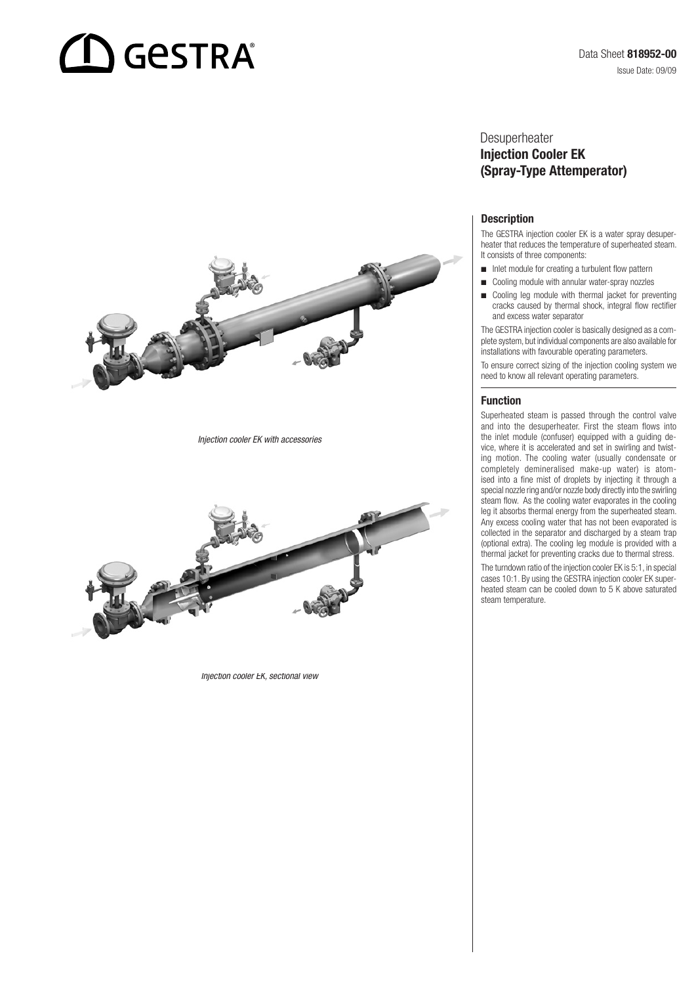# **D** GeSTRA

#### **Desuperheater** Injection Cooler EK (Spray-Type Attemperator)

#### **Description**

The GESTRA injection cooler EK is a water spray desuperheater that reduces the temperature of superheated steam. It consists of three components:

- $\blacksquare$  Inlet module for creating a turbulent flow pattern
- Cooling module with annular water-spray nozzles
- Cooling leg module with thermal jacket for preventing cracks caused by thermal shock, integral flow rectifier and excess water separator

The GESTRA injection cooler is basically designed as a complete system, but individual components are also available for installations with favourable operating parameters.

To ensure correct sizing of the injection cooling system we need to know all relevant operating parameters.

#### Function

Superheated steam is passed through the control valve and into the desuperheater. First the steam flows into the inlet module (confuser) equipped with a guiding device, where it is accelerated and set in swirling and twisting motion. The cooling water (usually condensate or completely demineralised make-up water) is atomised into a fine mist of droplets by injecting it through a special nozzle ring and/or nozzle body directly into the swirling steam flow. As the cooling water evaporates in the cooling leg it absorbs thermal energy from the superheated steam. Any excess cooling water that has not been evaporated is collected in the separator and discharged by a steam trap (optional extra). The cooling leg module is provided with a thermal jacket for preventing cracks due to thermal stress.

The turndown ratio of the injection cooler EK is 5:1, in special cases 10:1. By using the GESTRA injection cooler EK superheated steam can be cooled down to 5 K above saturated steam temperature.

*Injection cooler EK with accessories*



*Injection cooler EK, sectional view*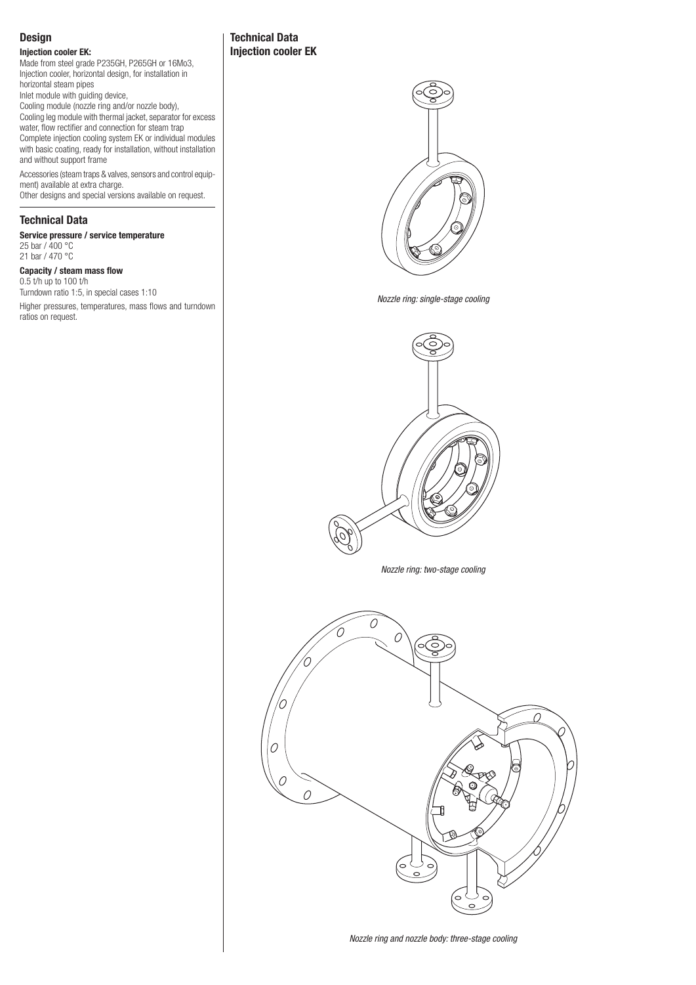#### Design

#### Injection cooler EK:

Made from steel grade P235GH, P265GH or 16Mo3, Injection cooler, horizontal design, for installation in horizontal steam pipes

Inlet module with guiding device, Cooling module (nozzle ring and/or nozzle body), Cooling leg module with thermal jacket, separator for excess

water, flow rectifier and connection for steam trap Complete injection cooling system EK or individual modules with basic coating, ready for installation, without installation and without support frame

Accessories (steam traps & valves, sensors and control equipment) available at extra charge. Other designs and special versions available on request.

#### Technical Data

Service pressure / service temperature 25 bar / 400 °C 21 bar / 470 °C

#### Capacity / steam mass flow

0.5 t/h up to 100 t/h Turndown ratio 1:5, in special cases 1:10

Higher pressures, temperatures, mass flows and turndown ratios on request.

#### Technical Data Injection cooler EK



*Nozzle ring: single-stage cooling*



*Nozzle ring and nozzle body: three-stage cooling*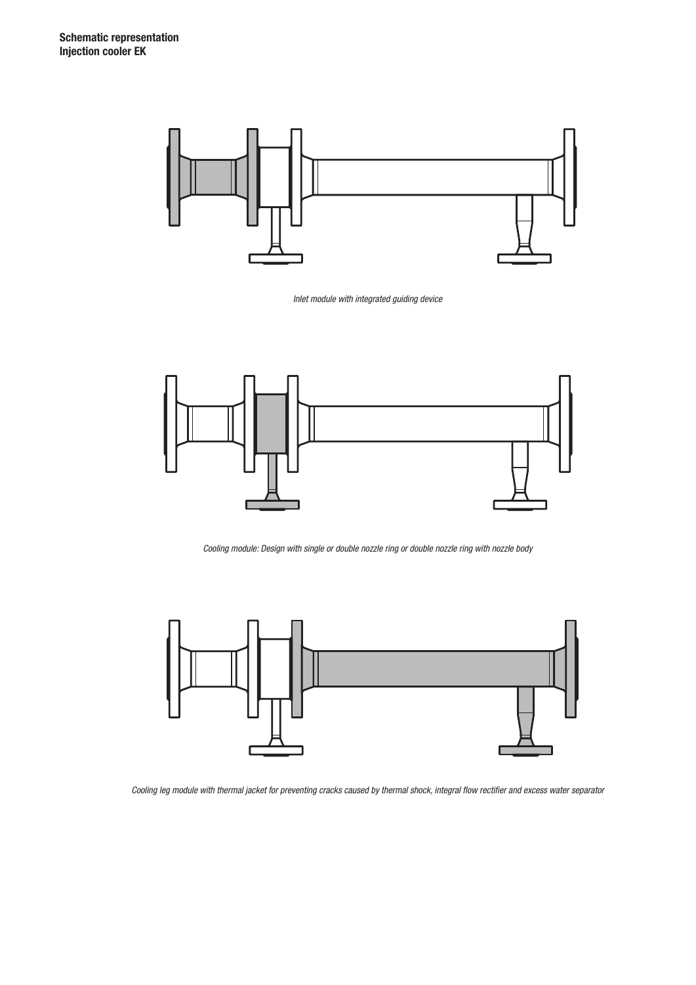

*Inlet module with integrated guiding device*



*Cooling module: Design with single or double nozzle ring or double nozzle ring with nozzle body*



*Cooling leg module with thermal jacket for preventing cracks caused by thermal shock, integral flow rectifier and excess water separator*